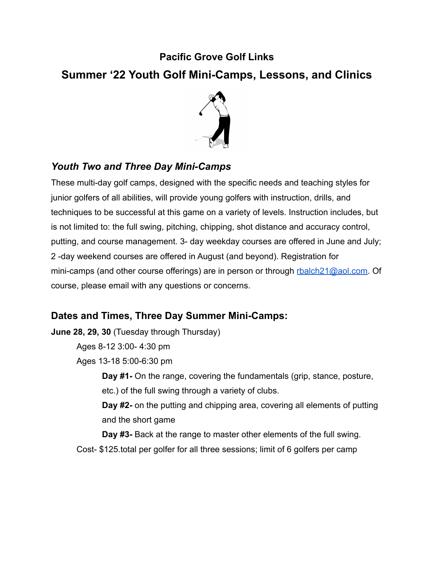## **Pacific Grove Golf Links**

# **Summer '22 Youth Golf Mini-Camps, Lessons, and Clinics**



## *Youth Two and Three Day Mini-Camps*

These multi-day golf camps, designed with the specific needs and teaching styles for junior golfers of all abilities, will provide young golfers with instruction, drills, and techniques to be successful at this game on a variety of levels. Instruction includes, but is not limited to: the full swing, pitching, chipping, shot distance and accuracy control, putting, and course management. 3- day weekday courses are offered in June and July; 2 -day weekend courses are offered in August (and beyond). Registration for mini-camps (and other course offerings) are in person or through [rbalch21@aol.com.](mailto:rbalch21@aol.com) Of course, please email with any questions or concerns.

## **Dates and Times, Three Day Summer Mini-Camps:**

**June 28, 29, 30** (Tuesday through Thursday)

Ages 8-12 3:00- 4:30 pm

Ages 13-18 5:00-6:30 pm

**Day #1-** On the range, covering the fundamentals (grip, stance, posture, etc.) of the full swing through a variety of clubs.

**Day #2-** on the putting and chipping area, covering all elements of putting and the short game

**Day #3-** Back at the range to master other elements of the full swing. Cost- \$125.total per golfer for all three sessions; limit of 6 golfers per camp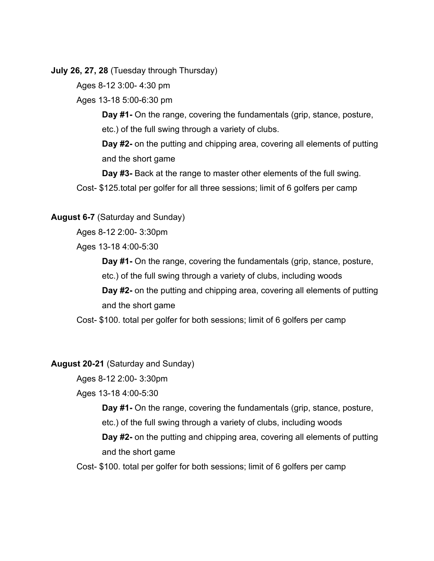**July 26, 27, 28** (Tuesday through Thursday)

Ages 8-12 3:00- 4:30 pm

Ages 13-18 5:00-6:30 pm

**Day #1-** On the range, covering the fundamentals (grip, stance, posture, etc.) of the full swing through a variety of clubs.

**Day #2-** on the putting and chipping area, covering all elements of putting and the short game

**Day #3-** Back at the range to master other elements of the full swing. Cost- \$125.total per golfer for all three sessions; limit of 6 golfers per camp

#### **August 6-7** (Saturday and Sunday)

Ages 8-12 2:00- 3:30pm

Ages 13-18 4:00-5:30

**Day #1-** On the range, covering the fundamentals (grip, stance, posture,

etc.) of the full swing through a variety of clubs, including woods

**Day #2-** on the putting and chipping area, covering all elements of putting and the short game

Cost- \$100. total per golfer for both sessions; limit of 6 golfers per camp

#### **August 20-21** (Saturday and Sunday)

Ages 8-12 2:00- 3:30pm

Ages 13-18 4:00-5:30

**Day #1-** On the range, covering the fundamentals (grip, stance, posture, etc.) of the full swing through a variety of clubs, including woods **Day #2-** on the putting and chipping area, covering all elements of putting and the short game

Cost- \$100. total per golfer for both sessions; limit of 6 golfers per camp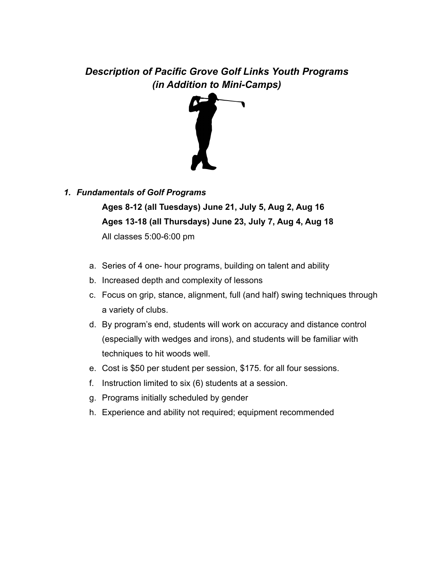## *Description of Pacific Grove Golf Links Youth Programs (in Addition to Mini-Camps)*



### *1. Fundamentals of Golf Programs*

**Ages 8-12 (all Tuesdays) June 21, July 5, Aug 2, Aug 16 Ages 13-18 (all Thursdays) June 23, July 7, Aug 4, Aug 18** All classes 5:00-6:00 pm

- a. Series of 4 one- hour programs, building on talent and ability
- b. Increased depth and complexity of lessons
- c. Focus on grip, stance, alignment, full (and half) swing techniques through a variety of clubs.
- d. By program's end, students will work on accuracy and distance control (especially with wedges and irons), and students will be familiar with techniques to hit woods well.
- e. Cost is \$50 per student per session, \$175. for all four sessions.
- f. Instruction limited to six (6) students at a session.
- g. Programs initially scheduled by gender
- h. Experience and ability not required; equipment recommended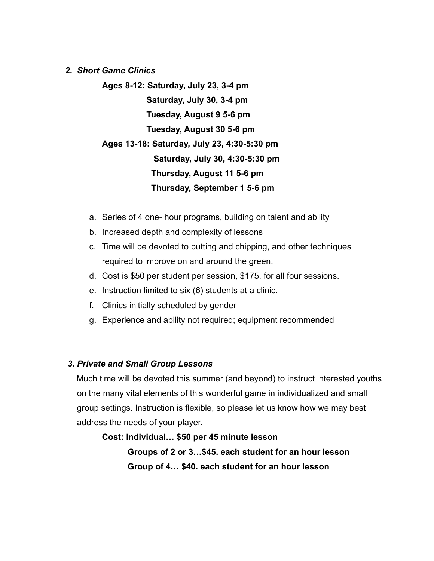#### *2. Short Game Clinics*

**Ages 8-12: Saturday, July 23, 3-4 pm Saturday, July 30, 3-4 pm Tuesday, August 9 5-6 pm Tuesday, August 30 5-6 pm Ages 13-18: Saturday, July 23, 4:30-5:30 pm Saturday, July 30, 4:30-5:30 pm Thursday, August 11 5-6 pm Thursday, September 1 5-6 pm**

- a. Series of 4 one- hour programs, building on talent and ability
- b. Increased depth and complexity of lessons
- c. Time will be devoted to putting and chipping, and other techniques required to improve on and around the green.
- d. Cost is \$50 per student per session, \$175. for all four sessions.
- e. Instruction limited to six (6) students at a clinic.
- f. Clinics initially scheduled by gender
- g. Experience and ability not required; equipment recommended

### *3. Private and Small Group Lessons*

Much time will be devoted this summer (and beyond) to instruct interested youths on the many vital elements of this wonderful game in individualized and small group settings. Instruction is flexible, so please let us know how we may best address the needs of your player.

**Cost: Individual… \$50 per 45 minute lesson Groups of 2 or 3…\$45. each student for an hour lesson Group of 4… \$40. each student for an hour lesson**